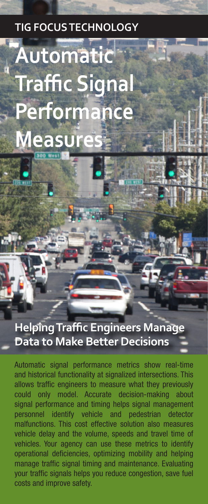# **TIG FOCUS TECHNOLOGY**

# **Automatic Traffic Signal Performance Measures**

# **Helping Traffic Engineers Manage Data to Make Better Decisions**

Automatic signal performance metrics show real-time and historical functionality at signalized intersections. This allows traffic engineers to measure what they previously could only model. Accurate decision-making about signal performance and timing helps signal management personnel identify vehicle and pedestrian detector malfunctions. This cost effective solution also measures vehicle delay and the volume, speeds and travel time of vehicles. Your agency can use these metrics to identify operational deficiencies, optimizing mobility and helping manage traffic signal timing and maintenance. Evaluating your traffic signals helps you reduce congestion, save fuel costs and improve safety.